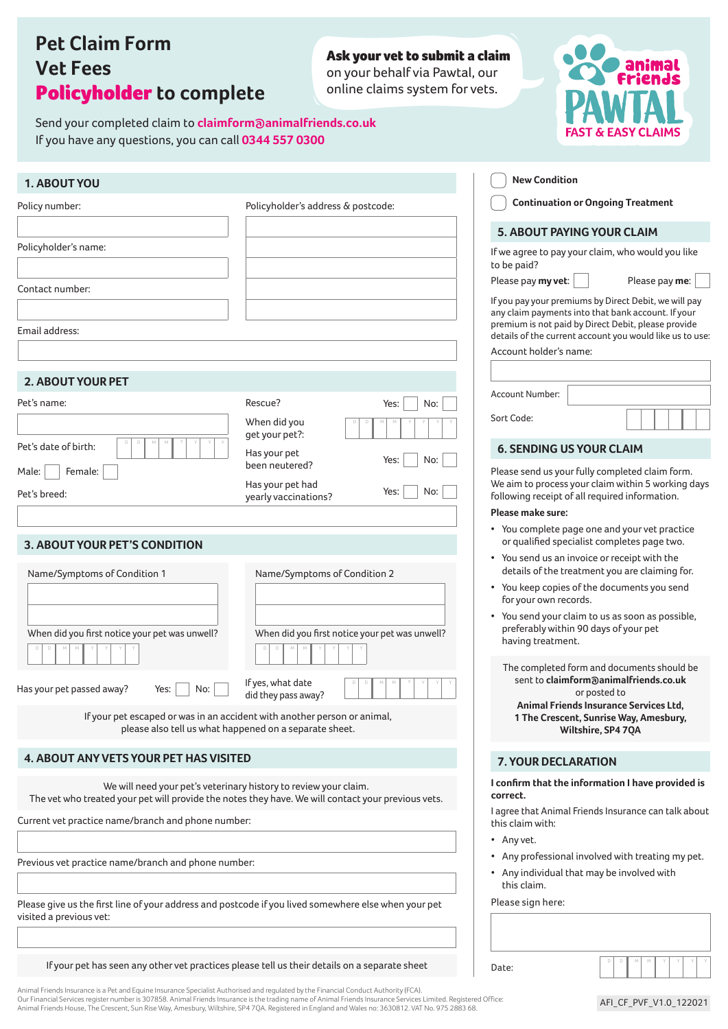# **Pet Claim Form Vet Fees** Policyholder **to complete**

Send your completed claim to **claimform@animalfriends.co.uk** 

If you have any questions, you can call **0344 557 0300**

### Ask your vet to submit a claim

on your behalf via Pawtal, our online claims system for vets.



| 1. ABOUT YOU                                                                                                                    |                                                                                                                                                                        | <b>New Condition</b>                                                                                                                                                                                                           |
|---------------------------------------------------------------------------------------------------------------------------------|------------------------------------------------------------------------------------------------------------------------------------------------------------------------|--------------------------------------------------------------------------------------------------------------------------------------------------------------------------------------------------------------------------------|
| Policy number:                                                                                                                  | Policyholder's address & postcode:                                                                                                                                     | <b>Continuation or Ongoing Treatment</b>                                                                                                                                                                                       |
|                                                                                                                                 |                                                                                                                                                                        | <b>5. ABOUT PAYING YOUR CLAIM</b>                                                                                                                                                                                              |
| Policyholder's name:                                                                                                            |                                                                                                                                                                        | If we agree to pay your claim, who would you like<br>to be paid?                                                                                                                                                               |
| Contact number:                                                                                                                 |                                                                                                                                                                        | Please pay my vet:<br>Please pay me:                                                                                                                                                                                           |
| Email address:                                                                                                                  |                                                                                                                                                                        | If you pay your premiums by Direct Debit, we will pay<br>any claim payments into that bank account. If your<br>premium is not paid by Direct Debit, please provide<br>details of the current account you would like us to use: |
|                                                                                                                                 |                                                                                                                                                                        | Account holder's name:                                                                                                                                                                                                         |
| <b>2. ABOUT YOUR PET</b>                                                                                                        |                                                                                                                                                                        |                                                                                                                                                                                                                                |
| Pet's name:                                                                                                                     | Rescue?<br>Yes:<br>No:                                                                                                                                                 | Account Number:                                                                                                                                                                                                                |
|                                                                                                                                 | When did you                                                                                                                                                           | Sort Code:                                                                                                                                                                                                                     |
| Pet's date of birth:                                                                                                            | get your pet?:<br>Has your pet                                                                                                                                         | <b>6. SENDING US YOUR CLAIM</b>                                                                                                                                                                                                |
| Female:<br>Male:                                                                                                                | Yes:<br>No:<br>been neutered?                                                                                                                                          | Please send us your fully completed claim form.                                                                                                                                                                                |
| Pet's breed:                                                                                                                    | Has your pet had<br>No:<br>Yes:<br>yearly vaccinations?                                                                                                                | We aim to process your claim within 5 working days<br>following receipt of all required information.                                                                                                                           |
|                                                                                                                                 |                                                                                                                                                                        | Please make sure:                                                                                                                                                                                                              |
| 3. ABOUT YOUR PET'S CONDITION                                                                                                   |                                                                                                                                                                        | • You complete page one and your vet practice<br>or qualified specialist completes page two.                                                                                                                                   |
|                                                                                                                                 |                                                                                                                                                                        | • You send us an invoice or receipt with the                                                                                                                                                                                   |
| Name/Symptoms of Condition 1                                                                                                    | Name/Symptoms of Condition 2                                                                                                                                           | details of the treatment you are claiming for.<br>• You keep copies of the documents you send                                                                                                                                  |
|                                                                                                                                 |                                                                                                                                                                        | for your own records.                                                                                                                                                                                                          |
| When did you first notice your pet was unwell?                                                                                  | When did you first notice your pet was unwell?                                                                                                                         | • You send your claim to us as soon as possible,<br>preferably within 90 days of your pet<br>having treatment.                                                                                                                 |
|                                                                                                                                 |                                                                                                                                                                        | The completed form and documents should be                                                                                                                                                                                     |
| Has your pet passed away?<br>Yes:<br>No:                                                                                        | If yes, what date<br>did they pass away?                                                                                                                               | sent to claimform@animalfriends.co.uk<br>or posted to<br>Animal Friends Insurance Services Ltd,                                                                                                                                |
|                                                                                                                                 | If your pet escaped or was in an accident with another person or animal,<br>please also tell us what happened on a separate sheet.                                     | 1 The Crescent, Sunrise Way, Amesbury,<br>Wiltshire, SP4 7QA                                                                                                                                                                   |
| <b>4. ABOUT ANY VETS YOUR PET HAS VISITED</b>                                                                                   |                                                                                                                                                                        | 7. YOUR DECLARATION                                                                                                                                                                                                            |
|                                                                                                                                 | We will need your pet's veterinary history to review your claim.<br>The vet who treated your pet will provide the notes they have. We will contact your previous vets. | I confirm that the information I have provided is<br>correct.                                                                                                                                                                  |
| Current vet practice name/branch and phone number:                                                                              |                                                                                                                                                                        | I agree that Animal Friends Insurance can talk about<br>this claim with:                                                                                                                                                       |
|                                                                                                                                 |                                                                                                                                                                        | • Any vet.                                                                                                                                                                                                                     |
| Previous vet practice name/branch and phone number:                                                                             |                                                                                                                                                                        | Any professional involved with treating my pet.<br>$\bullet$                                                                                                                                                                   |
|                                                                                                                                 |                                                                                                                                                                        | • Any individual that may be involved with<br>this claim.                                                                                                                                                                      |
| Please give us the first line of your address and postcode if you lived somewhere else when your pet<br>visited a previous vet: |                                                                                                                                                                        | Please sign here:                                                                                                                                                                                                              |
|                                                                                                                                 |                                                                                                                                                                        |                                                                                                                                                                                                                                |
|                                                                                                                                 | If your pet has seen any other vet practices please tell us their details on a separate sheet                                                                          | Date:                                                                                                                                                                                                                          |

Animal Friends Insurance is a Pet and Equine Insurance Specialist Authorised and regulated by the Financial Conduct Authority (FCA).<br>Our Financial Services register number is 307858. Animal Friends Insurance is the trading Animal Friends House, The Crescent, Sun Rise Way, Amesbury, Wiltshire, SP4 7QA. Registered in England and Wales no: 3630812. VAT No. 975 2883 68.

AFI\_CF\_PVF\_V1.0\_122021